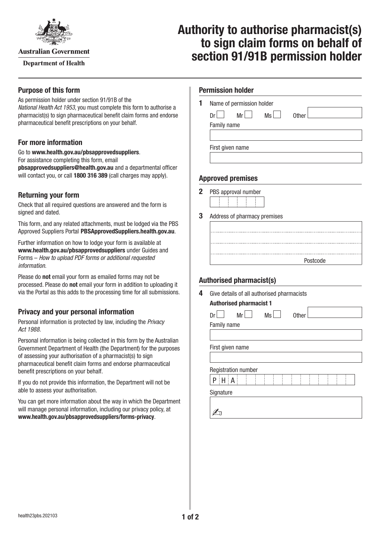

**Australian Government** 

**Department of Health** 

# **Authority to authorise pharmacist(s) to sign claim forms on behalf of section 91/91B permission holder**

#### **Purpose of this form**

As permission holder under section 91/91B of the *National Health Act 1953*, you must complete this form to authorise a pharmacist(s) to sign pharmaceutical benefit claim forms and endorse pharmaceutical benefit prescriptions on your behalf.

## **For more information**

Go to **[www.health.gov.au/pbsapprovedsuppliers](http://www.health.gov.au/pbsapprovedsuppliers)**. For assistance completing this form, email **[pbsapprovedsuppliers@health.gov.au](mailto:pbsapprovedsuppliers@health.gov.au)** and a departmental officer will contact you, or call **1800 316 389** (call charges may apply).

## **Returning your form**

Check that all required questions are answered and the form is signed and dated.

This form, and any related attachments, must be lodged via the PBS Approved Suppliers Portal [PBSApprovedSuppliers.health.gov.au](http://PBSApprovedSuppliers.health.gov.au).

Further information on how to lodge your form is available at **[www.health.gov.au/pbsapprovedsuppliers](http://www.health.gov.au/pbsapprovedsuppliers)** under Guides and Forms – *How to upload PDF forms or additional requested information*.

Please do **not** email your form as emailed forms may not be processed. Please do **not** email your form in addition to uploading it via the Portal as this adds to the processing time for all submissions.

## **Privacy and your personal information**

Personal information is protected by law, including the *Privacy Act 1988.*

Personal information is being collected in this form by the Australian Government Department of Health (the Department) for the purposes of assessing your authorisation of a pharmacist(s) to sign pharmaceutical benefit claim forms and endorse pharmaceutical benefit prescriptions on your behalf.

If you do not provide this information, the Department will not be able to assess your authorisation.

You can get more information about the way in which the Department will manage personal information, including our privacy policy, at **[www.health.gov.au/pbsapprovedsuppliers/forms-privacy](http://www.health.gov.au/pbsapprovedsuppliers/forms-privacy)**.

#### **Permission holder**

**1** Name of permission holder

 $Dr \mid$  Mr $\Box$  Ms $\Box$  Other Family name

First given name

## **Approved premises**

**2** PBS approval number

**3** Address of pharmacy premises

| Postcode |
|----------|

## **Authorised pharmacist(s)**

**4** Give details of all authorised pharmacists

**Authorised pharmacist 1**

| Family name                |  |  |  |  |  |  |
|----------------------------|--|--|--|--|--|--|
|                            |  |  |  |  |  |  |
| First given name           |  |  |  |  |  |  |
|                            |  |  |  |  |  |  |
| <b>Registration number</b> |  |  |  |  |  |  |
| $H$ A<br>P                 |  |  |  |  |  |  |
|                            |  |  |  |  |  |  |
| Signature                  |  |  |  |  |  |  |